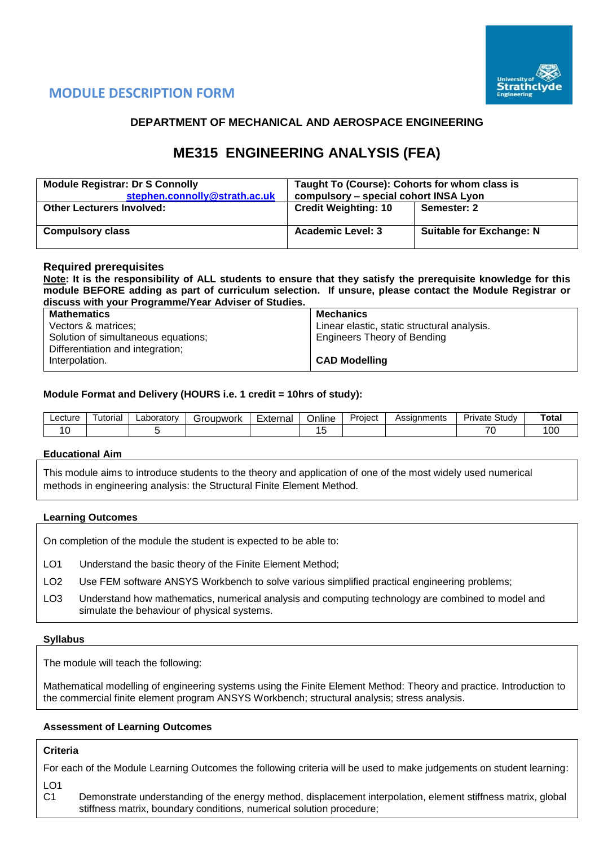

## **MODULE DESCRIPTION FORM**

## **DEPARTMENT OF MECHANICAL AND AEROSPACE ENGINEERING**

# **ME315 ENGINEERING ANALYSIS (FEA)**

| <b>Module Registrar: Dr S Connolly</b><br>stephen.connolly@strath.ac.uk | Taught To (Course): Cohorts for whom class is<br>compulsory - special cohort INSA Lyon |                                 |  |  |  |
|-------------------------------------------------------------------------|----------------------------------------------------------------------------------------|---------------------------------|--|--|--|
| <b>Other Lecturers Involved:</b>                                        | <b>Credit Weighting: 10</b>                                                            | Semester: 2                     |  |  |  |
| <b>Compulsory class</b>                                                 | <b>Academic Level: 3</b>                                                               | <b>Suitable for Exchange: N</b> |  |  |  |

### **Required prerequisites**

**Note: It is the responsibility of ALL students to ensure that they satisfy the prerequisite knowledge for this module BEFORE adding as part of curriculum selection. If unsure, please contact the Module Registrar or discuss with your Programme/Year Adviser of Studies.**

| <b>Mathematics</b>                  | Mechanics                                   |
|-------------------------------------|---------------------------------------------|
| Vectors & matrices;                 | Linear elastic, static structural analysis. |
| Solution of simultaneous equations; | <b>Engineers Theory of Bending</b>          |
| Differentiation and integration;    |                                             |
| Interpolation.                      | <b>CAD Modelling</b>                        |

#### **Module Format and Delivery (HOURS i.e. 1 credit = 10hrs of study):**

| Lecture | utorial | ∟aborator∨ | iroupwork | -<br>External | $\cdots$<br>Online | Project | Assianments | Studv<br>Private | Total           |
|---------|---------|------------|-----------|---------------|--------------------|---------|-------------|------------------|-----------------|
|         |         |            |           |               |                    |         |             | –                | $\Omega$<br>∣∪∪ |

#### **Educational Aim**

This module aims to introduce students to the theory and application of one of the most widely used numerical methods in engineering analysis: the Structural Finite Element Method.

#### **Learning Outcomes**

On completion of the module the student is expected to be able to:

- LO1 Understand the basic theory of the Finite Element Method;
- LO2 Use FEM software ANSYS Workbench to solve various simplified practical engineering problems;
- LO3 Understand how mathematics, numerical analysis and computing technology are combined to model and simulate the behaviour of physical systems.

#### **Syllabus**

The module will teach the following:

Mathematical modelling of engineering systems using the Finite Element Method: Theory and practice. Introduction to the commercial finite element program ANSYS Workbench; structural analysis; stress analysis.

### **Assessment of Learning Outcomes**

#### **Criteria**

For each of the Module Learning Outcomes the following criteria will be used to make judgements on student learning:

LO1

C1 Demonstrate understanding of the energy method, displacement interpolation, element stiffness matrix, global stiffness matrix, boundary conditions, numerical solution procedure;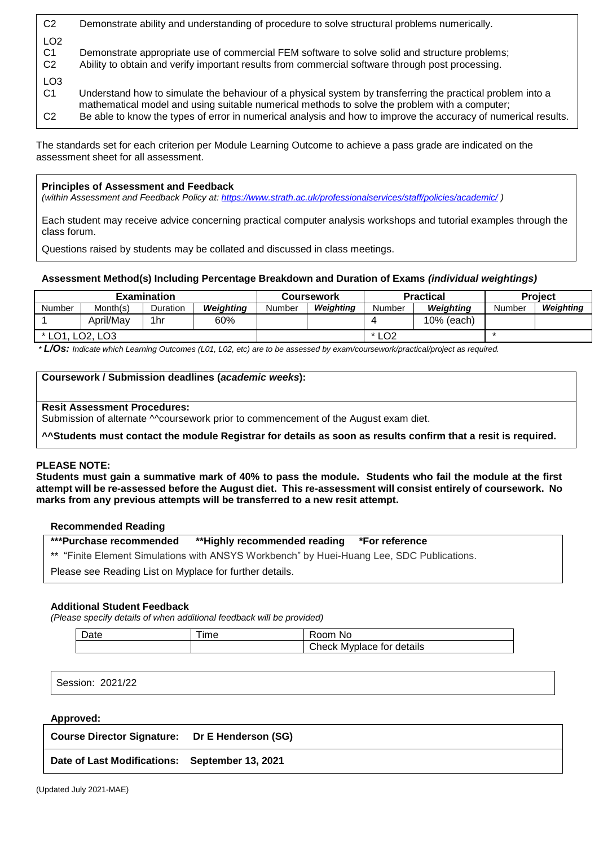| C <sub>2</sub>                                      | Demonstrate ability and understanding of procedure to solve structural problems numerically.                                                                                                                                                                                                                                  |
|-----------------------------------------------------|-------------------------------------------------------------------------------------------------------------------------------------------------------------------------------------------------------------------------------------------------------------------------------------------------------------------------------|
| LO <sub>2</sub><br>C <sub>1</sub><br>C <sub>2</sub> | Demonstrate appropriate use of commercial FEM software to solve solid and structure problems;<br>Ability to obtain and verify important results from commercial software through post processing.                                                                                                                             |
| LO <sub>3</sub><br>C1<br>C <sub>2</sub>             | Understand how to simulate the behaviour of a physical system by transferring the practical problem into a<br>mathematical model and using suitable numerical methods to solve the problem with a computer;<br>Be able to know the types of error in numerical analysis and how to improve the accuracy of numerical results. |

The standards set for each criterion per Module Learning Outcome to achieve a pass grade are indicated on the assessment sheet for all assessment.

### **Principles of Assessment and Feedback**

*(within Assessment and Feedback Policy at: <https://www.strath.ac.uk/professionalservices/staff/policies/academic/> )*

Each student may receive advice concerning practical computer analysis workshops and tutorial examples through the class forum.

Questions raised by students may be collated and discussed in class meetings.

### **Assessment Method(s) Including Percentage Breakdown and Duration of Exams** *(individual weightings)*

| <b>Examination</b> |                                   |          | Coursework |        |           | <b>Practical</b>    | <b>Project</b> |        |           |
|--------------------|-----------------------------------|----------|------------|--------|-----------|---------------------|----------------|--------|-----------|
| Number             | Month(s)                          | Duration | Weiahtina  | Number | Weiahtina | Number              | Weiahtina      | Number | Weiahtina |
|                    | April/May                         | 1hr      | 60%        |        |           |                     | 10% (each)     |        |           |
| $*$ I $\cap$ 1     | LO <sub>2</sub> . LO <sub>3</sub> |          |            |        |           | $*$ LO <sub>2</sub> |                |        |           |

*\* L/Os: Indicate which Learning Outcomes (L01, L02, etc) are to be assessed by exam/coursework/practical/project as required.*

#### **Coursework / Submission deadlines (***academic weeks***):**

#### **Resit Assessment Procedures:**

Submission of alternate Mcoursework prior to commencement of the August exam diet.

**^^Students must contact the module Registrar for details as soon as results confirm that a resit is required.** 

#### **PLEASE NOTE:**

**Students must gain a summative mark of 40% to pass the module. Students who fail the module at the first attempt will be re-assessed before the August diet. This re-assessment will consist entirely of coursework. No marks from any previous attempts will be transferred to a new resit attempt.**

#### **Recommended Reading**

### **\*\*\*Purchase recommended \*\*Highly recommended reading \*For reference**

\*\* "Finite Element Simulations with ANSYS Workbench" by Huei-Huang Lee, SDC Publications.

Please see Reading List on Myplace for further details.

#### **Additional Student Feedback**

*(Please specify details of when additional feedback will be provided)*

| Date | --<br>l ime | Room No                   |
|------|-------------|---------------------------|
|      |             | Check Myplace for details |

Session: 2021/22

#### **Approved:**

**Course Director Signature: Dr E Henderson (SG)**

**Date of Last Modifications: September 13, 2021**